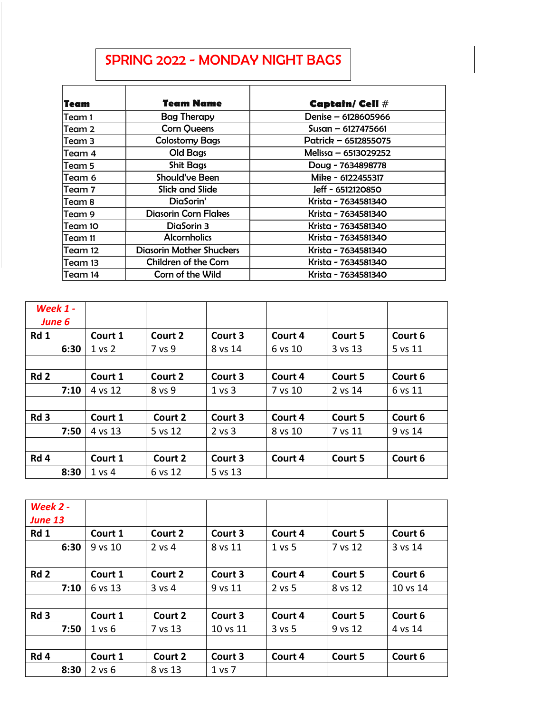## SPRING 2022 - MONDAY NIGHT BAGS

| Team    | Team Name                       | Captain/ Cell #      |
|---------|---------------------------------|----------------------|
| Team 1  | <b>Bag Therapy</b>              | Denise - 6128605966  |
| Team 2  | <b>Corn Queens</b>              | Susan – 6127475661   |
| Team 3  | <b>Colostomy Bags</b>           | Patrick - 6512855075 |
| Team 4  | Old Bags                        | Melissa – 6513029252 |
| Team 5  | <b>Shit Bags</b>                | Doug - 7634898778    |
| Team 6  | Should've Been                  | Mike - 6122455317    |
| lTeam 7 | <b>Slick and Slide</b>          | Jeff - 6512120850    |
| Team 8  | DiaSorin'                       | Krista - 7634581340  |
| Team 9  | <b>Diasorin Corn Flakes</b>     | Krista - 7634581340  |
| Team 10 | DiaSorin 3                      | Krista - 7634581340  |
| Team 11 | <b>Alcornholics</b>             | Krista - 7634581340  |
| Team 12 | <b>Diasorin Mother Shuckers</b> | Krista - 7634581340  |
| Team 13 | Children of the Corn            | Krista - 7634581340  |
| Team 14 | Corn of the Wild                | Krista - 7634581340  |

| Week $1 -$<br>June 6 |                   |         |                   |         |         |         |
|----------------------|-------------------|---------|-------------------|---------|---------|---------|
| Rd 1                 | Court 1           | Court 2 | Court 3           | Court 4 | Court 5 | Court 6 |
| 6:30                 | 1 <sub>vs</sub> 2 | 7 vs 9  | 8 vs 14           | 6 vs 10 | 3 vs 13 | 5 vs 11 |
|                      |                   |         |                   |         |         |         |
| Rd <sub>2</sub>      | Court 1           | Court 2 | Court 3           | Court 4 | Court 5 | Court 6 |
| 7:10                 | 4 vs 12           | 8 vs 9  | $1 \text{ vs } 3$ | 7 vs 10 | 2 vs 14 | 6 vs 11 |
|                      |                   |         |                   |         |         |         |
| Rd <sub>3</sub>      | Court 1           | Court 2 | Court 3           | Court 4 | Court 5 | Court 6 |
| 7:50                 | 4 vs 13           | 5 vs 12 | $2$ vs $3$        | 8 vs 10 | 7 vs 11 | 9 vs 14 |
|                      |                   |         |                   |         |         |         |
| Rd 4                 | Court 1           | Court 2 | Court 3           | Court 4 | Court 5 | Court 6 |
| 8:30                 | $1$ vs $4$        | 6 vs 12 | 5 vs 13           |         |         |         |

| Week 2 -<br><b>June 13</b> |            |          |          |          |         |          |
|----------------------------|------------|----------|----------|----------|---------|----------|
| Rd 1                       | Court 1    | Court 2  | Court 3  | Court 4  | Court 5 | Court 6  |
| 6:30                       | 9 vs 10    | 2 vs 4   | 8 vs 11  | $1$ vs 5 | 7 vs 12 | 3 vs 14  |
|                            |            |          |          |          |         |          |
| Rd <sub>2</sub>            | Court 1    | Court 2  | Court 3  | Court 4  | Court 5 | Court 6  |
| 7:10                       | 6 vs 13    | $3$ vs 4 | 9 vs 11  | $2$ vs 5 | 8 vs 12 | 10 vs 14 |
|                            |            |          |          |          |         |          |
| Rd <sub>3</sub>            | Court 1    | Court 2  | Court 3  | Court 4  | Court 5 | Court 6  |
| 7:50                       | 1 vs 6     | 7 vs 13  | 10 vs 11 | $3$ vs 5 | 9 vs 12 | 4 vs 14  |
|                            |            |          |          |          |         |          |
| Rd <sub>4</sub>            | Court 1    | Court 2  | Court 3  | Court 4  | Court 5 | Court 6  |
| 8:30                       | $2$ vs $6$ | 8 vs 13  | 1 vs 7   |          |         |          |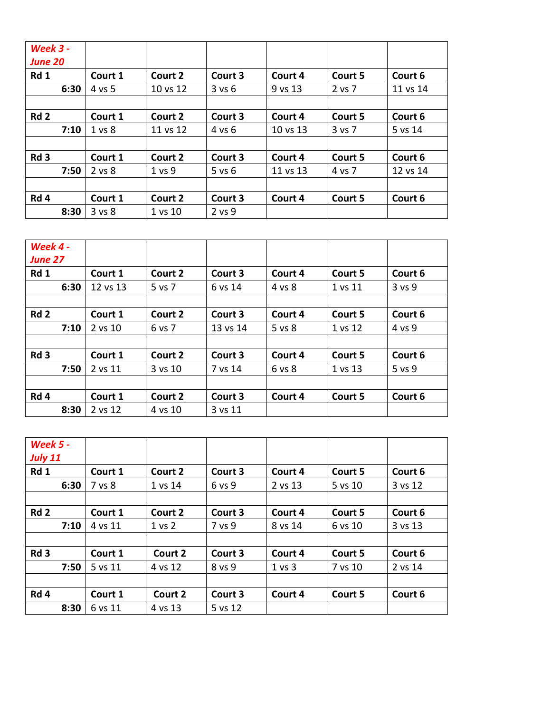| <b>Week 3 -</b><br><b>June 20</b> |                   |          |            |          |         |          |
|-----------------------------------|-------------------|----------|------------|----------|---------|----------|
| Rd 1                              | Court 1           | Court 2  | Court 3    | Court 4  | Court 5 | Court 6  |
| 6:30                              | 4 vs 5            | 10 vs 12 | 3 v s 6    | 9 vs 13  | 2 vs 7  | 11 vs 14 |
|                                   |                   |          |            |          |         |          |
| Rd <sub>2</sub>                   | Court 1           | Court 2  | Court 3    | Court 4  | Court 5 | Court 6  |
| 7:10                              | 1 <sub>vs</sub> 8 | 11 vs 12 | 4 vs 6     | 10 vs 13 | 3 vs 7  | 5 vs 14  |
|                                   |                   |          |            |          |         |          |
| Rd <sub>3</sub>                   | Court 1           | Court 2  | Court 3    | Court 4  | Court 5 | Court 6  |
| 7:50                              | 2 vs 8            | 1 vs 9   | $5$ vs $6$ | 11 vs 13 | 4 vs 7  | 12 vs 14 |
|                                   |                   |          |            |          |         |          |
| Rd 4                              | Court 1           | Court 2  | Court 3    | Court 4  | Court 5 | Court 6  |
| 8:30                              | 3 vs 8            | 1 vs 10  | 2 vs 9     |          |         |          |

| Week 4 -        |          |         |          |         |         |            |
|-----------------|----------|---------|----------|---------|---------|------------|
| <b>June 27</b>  |          |         |          |         |         |            |
| Rd 1            | Court 1  | Court 2 | Court 3  | Court 4 | Court 5 | Court 6    |
| 6:30            | 12 vs 13 | 5 vs 7  | 6 vs 14  | 4 vs 8  | 1 vs 11 | $3$ vs $9$ |
|                 |          |         |          |         |         |            |
| Rd <sub>2</sub> | Court 1  | Court 2 | Court 3  | Court 4 | Court 5 | Court 6    |
| 7:10            | 2 vs 10  | 6 vs 7  | 13 vs 14 | 5 vs 8  | 1 vs 12 | 4 vs 9     |
|                 |          |         |          |         |         |            |
| Rd <sub>3</sub> | Court 1  | Court 2 | Court 3  | Court 4 | Court 5 | Court 6    |
| 7:50            | 2 vs 11  | 3 vs 10 | 7 vs 14  | 6 vs 8  | 1 vs 13 | 5 vs 9     |
|                 |          |         |          |         |         |            |
| Rd 4            | Court 1  | Court 2 | Court 3  | Court 4 | Court 5 | Court 6    |
| 8:30            | 2 vs 12  | 4 vs 10 | 3 vs 11  |         |         |            |

| <b>Week 5 -</b><br><b>July 11</b> |         |         |         |         |         |         |
|-----------------------------------|---------|---------|---------|---------|---------|---------|
| Rd 1                              | Court 1 | Court 2 | Court 3 | Court 4 | Court 5 | Court 6 |
| 6:30                              | 7 vs 8  | 1 vs 14 | 6 vs 9  | 2 vs 13 | 5 vs 10 | 3 vs 12 |
|                                   |         |         |         |         |         |         |
| Rd <sub>2</sub>                   | Court 1 | Court 2 | Court 3 | Court 4 | Court 5 | Court 6 |
| 7:10                              | 4 vs 11 | 1 vs 2  | 7 vs 9  | 8 vs 14 | 6 vs 10 | 3 vs 13 |
|                                   |         |         |         |         |         |         |
| Rd <sub>3</sub>                   | Court 1 | Court 2 | Court 3 | Court 4 | Court 5 | Court 6 |
| 7:50                              | 5 vs 11 | 4 vs 12 | 8 vs 9  | 1 vs 3  | 7 vs 10 | 2 vs 14 |
|                                   |         |         |         |         |         |         |
| Rd 4                              | Court 1 | Court 2 | Court 3 | Court 4 | Court 5 | Court 6 |
| 8:30                              | 6 vs 11 | 4 vs 13 | 5 vs 12 |         |         |         |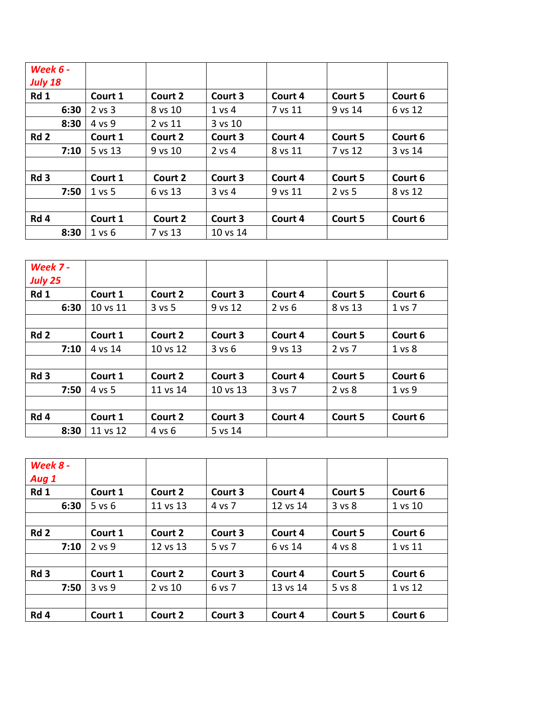| <b>Week 6 -</b><br><b>July 18</b> |            |         |            |         |         |         |
|-----------------------------------|------------|---------|------------|---------|---------|---------|
| Rd 1                              | Court 1    | Court 2 | Court 3    | Court 4 | Court 5 | Court 6 |
| 6:30                              | $2$ vs $3$ | 8 vs 10 | 1 vs 4     | 7 vs 11 | 9 vs 14 | 6 vs 12 |
| 8:30                              | 4 vs 9     | 2 vs 11 | 3 vs 10    |         |         |         |
| Rd <sub>2</sub>                   | Court 1    | Court 2 | Court 3    | Court 4 | Court 5 | Court 6 |
| 7:10                              | 5 vs 13    | 9 vs 10 | $2$ vs 4   | 8 vs 11 | 7 vs 12 | 3 vs 14 |
|                                   |            |         |            |         |         |         |
| Rd <sub>3</sub>                   | Court 1    | Court 2 | Court 3    | Court 4 | Court 5 | Court 6 |
| 7:50                              | 1 vs 5     | 6 vs 13 | $3$ vs $4$ | 9 vs 11 | 2 vs 5  | 8 vs 12 |
|                                   |            |         |            |         |         |         |
| Rd 4                              | Court 1    | Court 2 | Court 3    | Court 4 | Court 5 | Court 6 |
| 8:30                              | 1 vs 6     | 7 vs 13 | 10 vs 14   |         |         |         |

| Week 7 -<br><b>July 25</b> |          |            |          |            |         |            |
|----------------------------|----------|------------|----------|------------|---------|------------|
| Rd 1                       | Court 1  | Court 2    | Court 3  | Court 4    | Court 5 | Court 6    |
| 6:30                       | 10 vs 11 | $3$ vs $5$ | 9 vs 12  | $2$ vs $6$ | 8 vs 13 | $1$ vs $7$ |
|                            |          |            |          |            |         |            |
| Rd <sub>2</sub>            | Court 1  | Court 2    | Court 3  | Court 4    | Court 5 | Court 6    |
| 7:10                       | 4 vs 14  | 10 vs 12   | 3 v s 6  | 9 vs 13    | 2 vs 7  | 1 vs 8     |
|                            |          |            |          |            |         |            |
| Rd <sub>3</sub>            | Court 1  | Court 2    | Court 3  | Court 4    | Court 5 | Court 6    |
| 7:50                       | 4 vs 5   | 11 vs 14   | 10 vs 13 | 3 vs 7     | 2 vs 8  | 1 vs 9     |
|                            |          |            |          |            |         |            |
| Rd 4                       | Court 1  | Court 2    | Court 3  | Court 4    | Court 5 | Court 6    |
| 8:30                       | 11 vs 12 | 4 vs 6     | 5 vs 14  |            |         |            |

| Week 8 -        |            |          |         |          |         |         |
|-----------------|------------|----------|---------|----------|---------|---------|
| Aug 1<br>Rd 1   | Court 1    | Court 2  | Court 3 | Court 4  | Court 5 | Court 6 |
|                 |            |          |         |          |         |         |
| 6:30            | $5$ vs $6$ | 11 vs 13 | 4 vs 7  | 12 vs 14 | 3 vs 8  | 1 vs 10 |
|                 |            |          |         |          |         |         |
| Rd <sub>2</sub> | Court 1    | Court 2  | Court 3 | Court 4  | Court 5 | Court 6 |
| 7:10            | $2$ vs $9$ | 12 vs 13 | 5 vs 7  | 6 vs 14  | 4 vs 8  | 1 vs 11 |
|                 |            |          |         |          |         |         |
| Rd <sub>3</sub> | Court 1    | Court 2  | Court 3 | Court 4  | Court 5 | Court 6 |
| 7:50            | 3 vs 9     | 2 vs 10  | 6 vs 7  | 13 vs 14 | 5 vs 8  | 1 vs 12 |
|                 |            |          |         |          |         |         |
| Rd 4            | Court 1    | Court 2  | Court 3 | Court 4  | Court 5 | Court 6 |